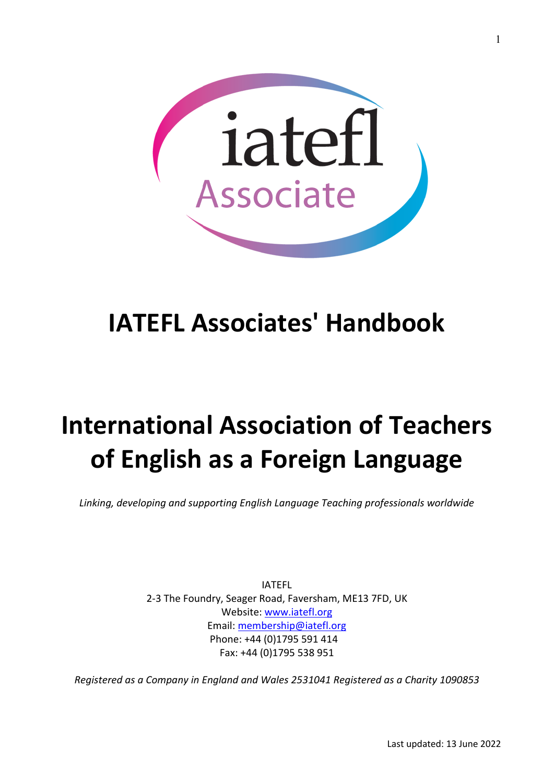

# **IATEFL Associates' Handbook**

# **International Association of Teachers of English as a Foreign Language**

*Linking, developing and supporting English Language Teaching professionals worldwide*

IATEFL 2-3 The Foundry, Seager Road, Faversham, ME13 7FD, UK Website: [www.iatefl.org](http://www.iatefl.org/) Email: [membership@iatefl.org](mailto:membership@iatefl.org) Phone: +44 (0)1795 591 414 Fax: +44 (0)1795 538 951

*Registered as a Company in England and Wales 2531041 Registered as a Charity 1090853*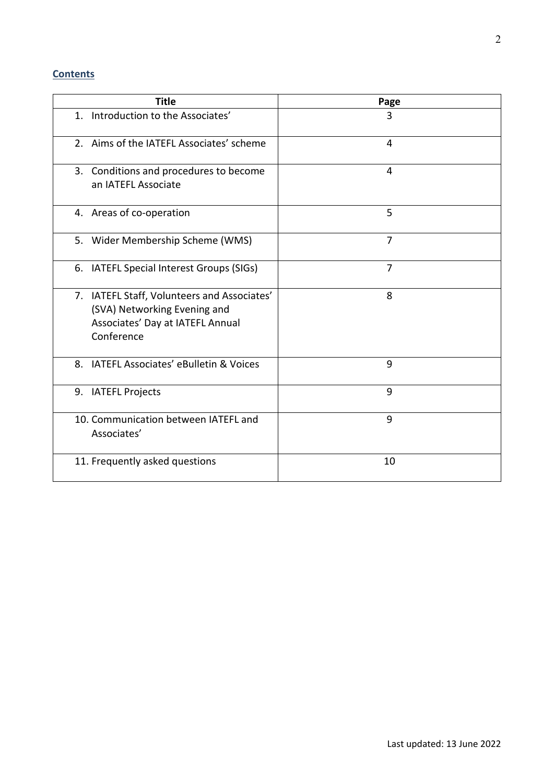# **Contents**

| <b>Title</b>                                                                                                                  | Page           |
|-------------------------------------------------------------------------------------------------------------------------------|----------------|
| 1. Introduction to the Associates'                                                                                            | 3              |
| 2. Aims of the IATEFL Associates' scheme                                                                                      | 4              |
| 3. Conditions and procedures to become<br>an IATEFL Associate                                                                 | 4              |
| 4. Areas of co-operation                                                                                                      | 5              |
| 5. Wider Membership Scheme (WMS)                                                                                              | $\overline{7}$ |
| 6. IATEFL Special Interest Groups (SIGs)                                                                                      | $\overline{7}$ |
| 7. IATEFL Staff, Volunteers and Associates'<br>(SVA) Networking Evening and<br>Associates' Day at IATEFL Annual<br>Conference | 8              |
| 8. IATEFL Associates' eBulletin & Voices                                                                                      | 9              |
| 9. IATEFL Projects                                                                                                            | 9              |
| 10. Communication between IATEFL and<br>Associates'                                                                           | 9              |
| 11. Frequently asked questions                                                                                                | 10             |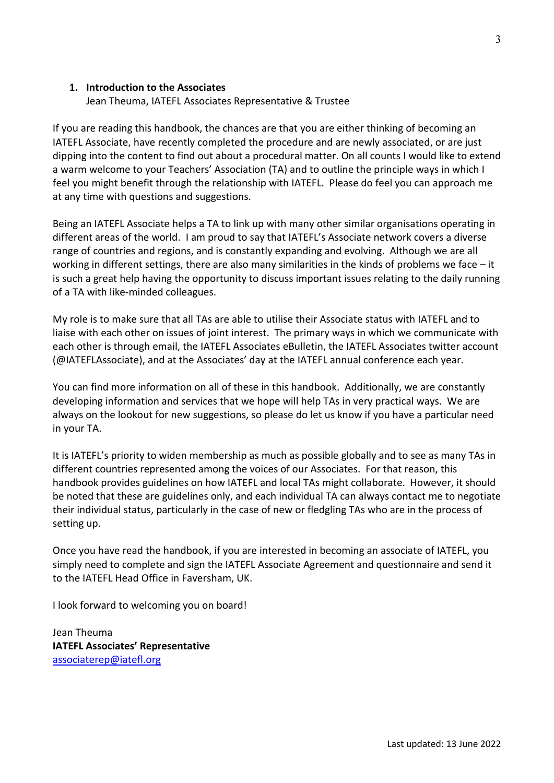#### **1. Introduction to the Associates**

Jean Theuma, IATEFL Associates Representative & Trustee

If you are reading this handbook, the chances are that you are either thinking of becoming an IATEFL Associate, have recently completed the procedure and are newly associated, or are just dipping into the content to find out about a procedural matter. On all counts I would like to extend a warm welcome to your Teachers' Association (TA) and to outline the principle ways in which I feel you might benefit through the relationship with IATEFL. Please do feel you can approach me at any time with questions and suggestions.

Being an IATEFL Associate helps a TA to link up with many other similar organisations operating in different areas of the world. I am proud to say that IATEFL's Associate network covers a diverse range of countries and regions, and is constantly expanding and evolving. Although we are all working in different settings, there are also many similarities in the kinds of problems we face – it is such a great help having the opportunity to discuss important issues relating to the daily running of a TA with like-minded colleagues.

My role is to make sure that all TAs are able to utilise their Associate status with IATEFL and to liaise with each other on issues of joint interest. The primary ways in which we communicate with each other is through email, the IATEFL Associates eBulletin, the IATEFL Associates twitter account (@IATEFLAssociate), and at the Associates' day at the IATEFL annual conference each year.

You can find more information on all of these in this handbook. Additionally, we are constantly developing information and services that we hope will help TAs in very practical ways. We are always on the lookout for new suggestions, so please do let us know if you have a particular need in your TA.

It is IATEFL's priority to widen membership as much as possible globally and to see as many TAs in different countries represented among the voices of our Associates. For that reason, this handbook provides guidelines on how IATEFL and local TAs might collaborate. However, it should be noted that these are guidelines only, and each individual TA can always contact me to negotiate their individual status, particularly in the case of new or fledgling TAs who are in the process of setting up.

Once you have read the handbook, if you are interested in becoming an associate of IATEFL, you simply need to complete and sign the IATEFL Associate Agreement and questionnaire and send it to the IATEFL Head Office in Faversham, UK.

I look forward to welcoming you on board!

Jean Theuma **IATEFL Associates' Representative** [associaterep@iatefl.org](mailto:associaterep@iatefl.org)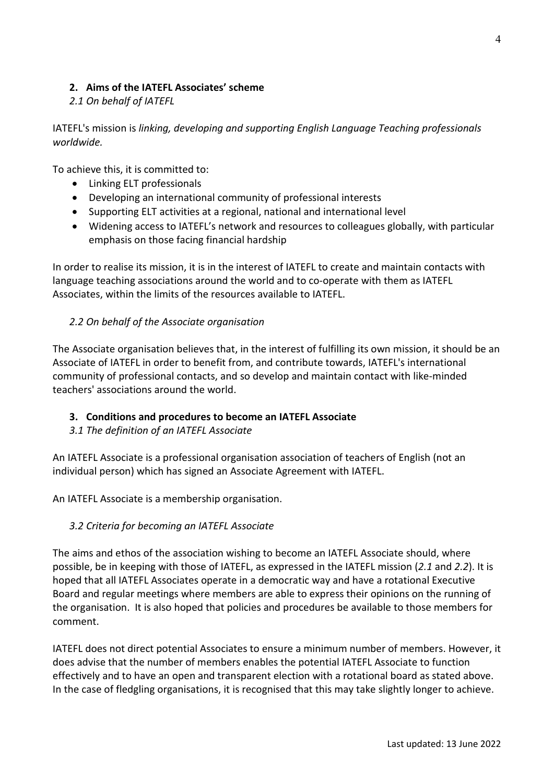# **2. Aims of the IATEFL Associates' scheme**

# *2.1 On behalf of IATEFL*

IATEFL's mission is *linking, developing and supporting English Language Teaching professionals worldwide.*

To achieve this, it is committed to:

- Linking ELT professionals
- Developing an international community of professional interests
- Supporting ELT activities at a regional, national and international level
- Widening access to IATEFL's network and resources to colleagues globally, with particular emphasis on those facing financial hardship

In order to realise its mission, it is in the interest of IATEFL to create and maintain contacts with language teaching associations around the world and to co-operate with them as IATEFL Associates, within the limits of the resources available to IATEFL.

# *2.2 On behalf of the Associate organisation*

The Associate organisation believes that, in the interest of fulfilling its own mission, it should be an Associate of IATEFL in order to benefit from, and contribute towards, IATEFL's international community of professional contacts, and so develop and maintain contact with like-minded teachers' associations around the world.

### **3. Conditions and procedures to become an IATEFL Associate**

# *3.1 The definition of an IATEFL Associate*

An IATEFL Associate is a professional organisation association of teachers of English (not an individual person) which has signed an Associate Agreement with IATEFL.

An IATEFL Associate is a membership organisation.

### *3.2 Criteria for becoming an IATEFL Associate*

The aims and ethos of the association wishing to become an IATEFL Associate should, where possible, be in keeping with those of IATEFL, as expressed in the IATEFL mission (*2.1* and *2.2*). It is hoped that all IATEFL Associates operate in a democratic way and have a rotational Executive Board and regular meetings where members are able to express their opinions on the running of the organisation. It is also hoped that policies and procedures be available to those members for comment.

IATEFL does not direct potential Associates to ensure a minimum number of members. However, it does advise that the number of members enables the potential IATEFL Associate to function effectively and to have an open and transparent election with a rotational board as stated above. In the case of fledgling organisations, it is recognised that this may take slightly longer to achieve.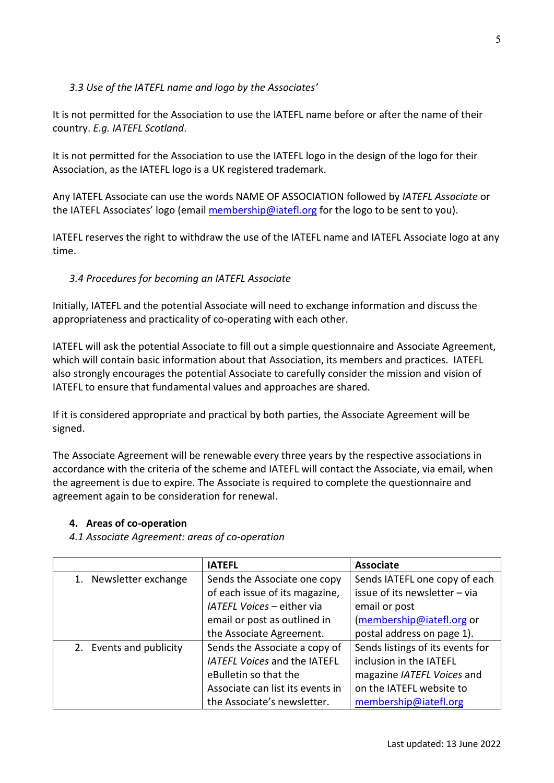### *3.3 Use of the IATEFL name and logo by the Associates'*

It is not permitted for the Association to use the IATEFL name before or after the name of their country. *E.g. IATEFL Scotland*.

It is not permitted for the Association to use the IATEFL logo in the design of the logo for their Association, as the IATEFL logo is a UK registered trademark.

Any IATEFL Associate can use the words NAME OF ASSOCIATION followed by *IATEFL Associate* or the IATEFL Associates' logo (email [membership@iatefl.org](mailto:membership@iatefl.org) for the logo to be sent to you).

IATEFL reserves the right to withdraw the use of the IATEFL name and IATEFL Associate logo at any time.

# *3.4 Procedures for becoming an IATEFL Associate*

Initially, IATEFL and the potential Associate will need to exchange information and discuss the appropriateness and practicality of co-operating with each other.

IATEFL will ask the potential Associate to fill out a simple questionnaire and Associate Agreement, which will contain basic information about that Association, its members and practices. IATEFL also strongly encourages the potential Associate to carefully consider the mission and vision of IATEFL to ensure that fundamental values and approaches are shared.

If it is considered appropriate and practical by both parties, the Associate Agreement will be signed.

The Associate Agreement will be renewable every three years by the respective associations in accordance with the criteria of the scheme and IATEFL will contact the Associate, via email, when the agreement is due to expire. The Associate is required to complete the questionnaire and agreement again to be consideration for renewal.

### **4. Areas of co-operation**

*4.1 Associate Agreement: areas of co-operation*

|                         | <b>IATEFL</b>                       | <b>Associate</b>                 |
|-------------------------|-------------------------------------|----------------------------------|
| 1. Newsletter exchange  | Sends the Associate one copy        | Sends IATEFL one copy of each    |
|                         | of each issue of its magazine,      | issue of its newsletter - via    |
|                         | IATEFL Voices - either via          | email or post                    |
|                         | email or post as outlined in        | (membership@iatefl.org or        |
|                         | the Associate Agreement.            | postal address on page 1).       |
| 2. Events and publicity | Sends the Associate a copy of       | Sends listings of its events for |
|                         | <b>IATEFL Voices and the IATEFL</b> | inclusion in the IATEFL          |
|                         | eBulletin so that the               | magazine IATEFL Voices and       |
|                         | Associate can list its events in    | on the IATEFL website to         |
|                         | the Associate's newsletter.         | membership@iatefl.org            |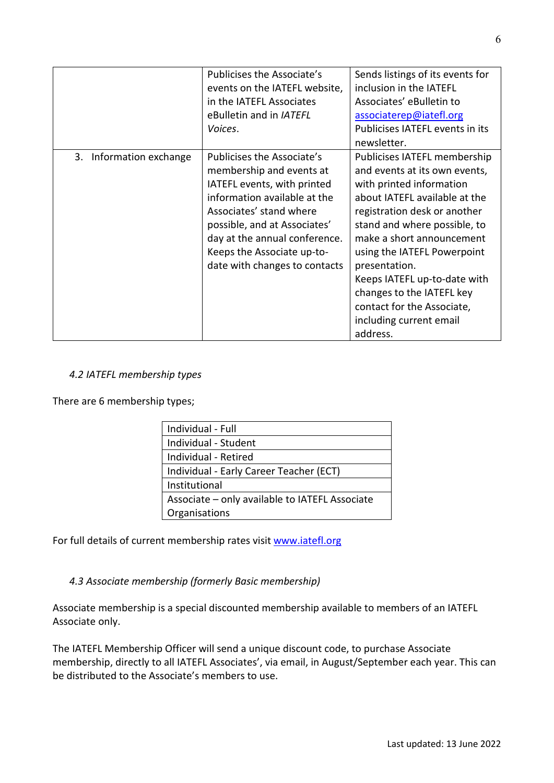|                         | Publicises the Associate's    | Sends listings of its events for |
|-------------------------|-------------------------------|----------------------------------|
|                         | events on the IATEFL website, | inclusion in the IATEFL          |
|                         | in the IATEFL Associates      | Associates' eBulletin to         |
|                         | eBulletin and in IATEFL       | associaterep@iatefl.org          |
|                         | Voices.                       | Publicises IATEFL events in its  |
|                         |                               | newsletter.                      |
| 3. Information exchange | Publicises the Associate's    | Publicises IATEFL membership     |
|                         | membership and events at      | and events at its own events,    |
|                         | IATEFL events, with printed   | with printed information         |
|                         | information available at the  | about IATEFL available at the    |
|                         | Associates' stand where       | registration desk or another     |
|                         | possible, and at Associates'  | stand and where possible, to     |
|                         | day at the annual conference. | make a short announcement        |
|                         | Keeps the Associate up-to-    | using the IATEFL Powerpoint      |
|                         | date with changes to contacts | presentation.                    |
|                         |                               | Keeps IATEFL up-to-date with     |
|                         |                               | changes to the IATEFL key        |
|                         |                               | contact for the Associate,       |
|                         |                               | including current email          |
|                         |                               | address.                         |

#### *4.2 IATEFL membership types*

There are 6 membership types;

| Individual - Full                              |
|------------------------------------------------|
| Individual - Student                           |
| Individual - Retired                           |
| Individual - Early Career Teacher (ECT)        |
| Institutional                                  |
| Associate - only available to IATEFL Associate |
| Organisations                                  |

For full details of current membership rates visit www.iatefl.org

#### *4.3 Associate membership (formerly Basic membership)*

Associate membership is a special discounted membership available to members of an IATEFL Associate only.

The IATEFL Membership Officer will send a unique discount code, to purchase Associate membership, directly to all IATEFL Associates', via email, in August/September each year. This can be distributed to the Associate's members to use.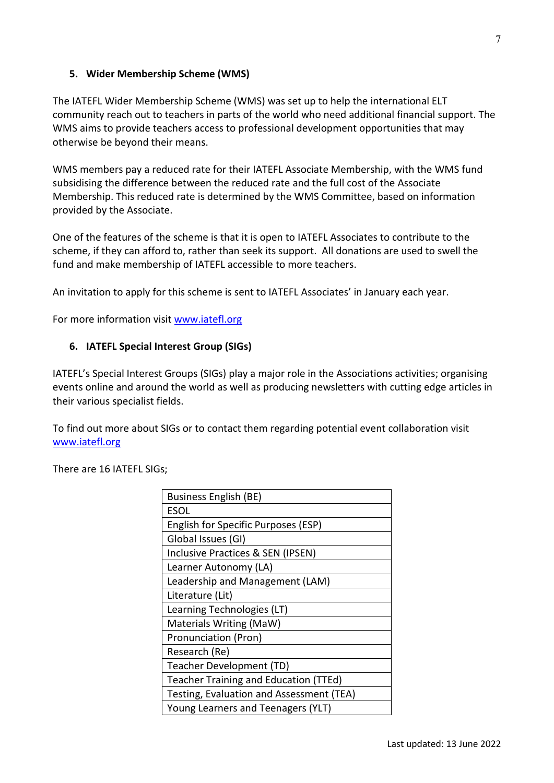#### **5. Wider Membership Scheme (WMS)**

The IATEFL Wider Membership Scheme (WMS) was set up to help the international ELT community reach out to teachers in parts of the world who need additional financial support. The WMS aims to provide teachers access to professional development opportunities that may otherwise be beyond their means.

WMS members pay a reduced rate for their IATEFL Associate Membership, with the WMS fund subsidising the difference between the reduced rate and the full cost of the Associate Membership. This reduced rate is determined by the WMS Committee, based on information provided by the Associate.

One of the features of the scheme is that it is open to IATEFL Associates to contribute to the scheme, if they can afford to, rather than seek its support. All donations are used to swell the fund and make membership of IATEFL accessible to more teachers.

An invitation to apply for this scheme is sent to IATEFL Associates' in January each year.

For more information visit [www.iatefl.org](http://www.iatefl.org/)

#### **6. IATEFL Special Interest Group (SIGs)**

IATEFL's Special Interest Groups (SIGs) play a major role in the Associations activities; organising events online and around the world as well as producing newsletters with cutting edge articles in their various specialist fields.

To find out more about SIGs or to contact them regarding potential event collaboration visit [www.iatefl.org](http://www.iatefl.org/)

There are 16 IATEFL SIGs;

| <b>Business English (BE)</b>                 |
|----------------------------------------------|
| ESOL                                         |
| English for Specific Purposes (ESP)          |
| Global Issues (GI)                           |
| <b>Inclusive Practices &amp; SEN (IPSEN)</b> |
| Learner Autonomy (LA)                        |
| Leadership and Management (LAM)              |
| Literature (Lit)                             |
| Learning Technologies (LT)                   |
| Materials Writing (MaW)                      |
| Pronunciation (Pron)                         |
| Research (Re)                                |
| Teacher Development (TD)                     |
| <b>Teacher Training and Education (TTEd)</b> |
| Testing, Evaluation and Assessment (TEA)     |
| Young Learners and Teenagers (YLT)           |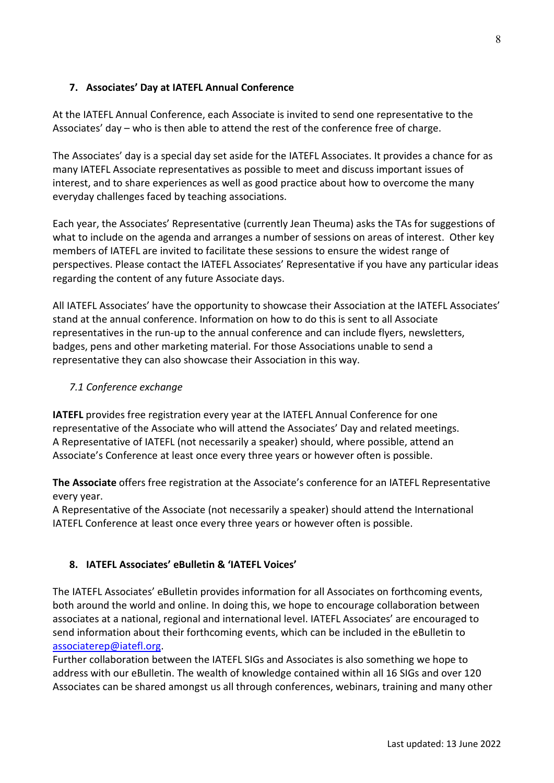# **7. Associates' Day at IATEFL Annual Conference**

At the IATEFL Annual Conference, each Associate is invited to send one representative to the Associates' day – who is then able to attend the rest of the conference free of charge.

The Associates' day is a special day set aside for the IATEFL Associates. It provides a chance for as many IATEFL Associate representatives as possible to meet and discuss important issues of interest, and to share experiences as well as good practice about how to overcome the many everyday challenges faced by teaching associations.

Each year, the Associates' Representative (currently Jean Theuma) asks the TAs for suggestions of what to include on the agenda and arranges a number of sessions on areas of interest. Other key members of IATEFL are invited to facilitate these sessions to ensure the widest range of perspectives. Please contact the IATEFL Associates' Representative if you have any particular ideas regarding the content of any future Associate days.

All IATEFL Associates' have the opportunity to showcase their Association at the IATEFL Associates' stand at the annual conference. Information on how to do this is sent to all Associate representatives in the run-up to the annual conference and can include flyers, newsletters, badges, pens and other marketing material. For those Associations unable to send a representative they can also showcase their Association in this way.

#### *7.1 Conference exchange*

**IATEFL** provides free registration every year at the IATEFL Annual Conference for one representative of the Associate who will attend the Associates' Day and related meetings. A Representative of IATEFL (not necessarily a speaker) should, where possible, attend an Associate's Conference at least once every three years or however often is possible.

**The Associate** offers free registration at the Associate's conference for an IATEFL Representative every year.

A Representative of the Associate (not necessarily a speaker) should attend the International IATEFL Conference at least once every three years or however often is possible.

### **8. IATEFL Associates' eBulletin & 'IATEFL Voices'**

The IATEFL Associates' eBulletin provides information for all Associates on forthcoming events, both around the world and online. In doing this, we hope to encourage collaboration between associates at a national, regional and international level. IATEFL Associates' are encouraged to send information about their forthcoming events, which can be included in the eBulletin to [associaterep@iatefl.org.](mailto:associaterep@iatefl.org)

Further collaboration between the IATEFL SIGs and Associates is also something we hope to address with our eBulletin. The wealth of knowledge contained within all 16 SIGs and over 120 Associates can be shared amongst us all through conferences, webinars, training and many other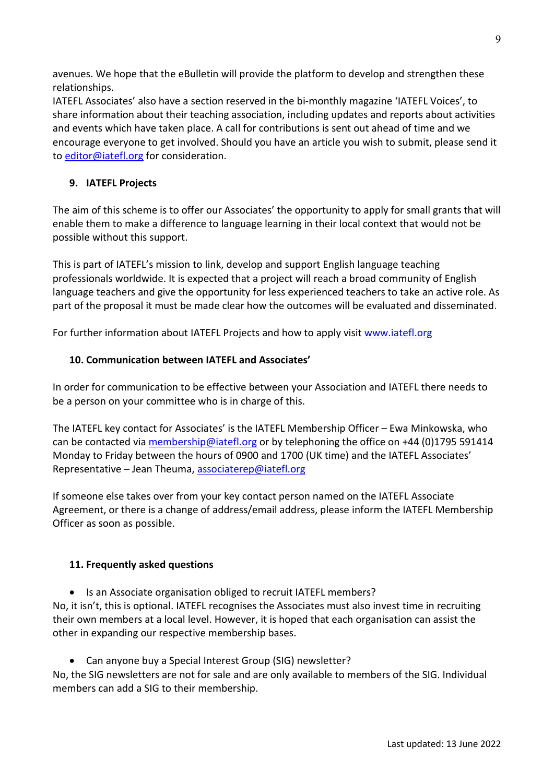avenues. We hope that the eBulletin will provide the platform to develop and strengthen these relationships.

IATEFL Associates' also have a section reserved in the bi-monthly magazine 'IATEFL Voices', to share information about their teaching association, including updates and reports about activities and events which have taken place. A call for contributions is sent out ahead of time and we encourage everyone to get involved. Should you have an article you wish to submit, please send it to [editor@iatefl.org](mailto:editor@iatefl.org) for consideration.

#### **9. IATEFL Projects**

The aim of this scheme is to offer our Associates' the opportunity to apply for small grants that will enable them to make a difference to language learning in their local context that would not be possible without this support.

This is part of IATEFL's mission to link, develop and support English language teaching professionals worldwide. It is expected that a project will reach a broad community of English language teachers and give the opportunity for less experienced teachers to take an active role. As part of the proposal it must be made clear how the outcomes will be evaluated and disseminated.

For further information about IATEFL Projects and how to apply visit [www.iatefl.org](http://www.iatefl.org/)

#### **10. Communication between IATEFL and Associates'**

In order for communication to be effective between your Association and IATEFL there needs to be a person on your committee who is in charge of this.

The IATEFL key contact for Associates' is the IATEFL Membership Officer – Ewa Minkowska, who can be contacted vi[a membership@iatefl.org](mailto:membership@iatefl.org) or by telephoning the office on +44 (0)1795 591414 Monday to Friday between the hours of 0900 and 1700 (UK time) and the IATEFL Associates' Representative – Jean Theuma, [associaterep@iatefl.org](mailto:associaterep@iatefl.org)

If someone else takes over from your key contact person named on the IATEFL Associate Agreement, or there is a change of address/email address, please inform the IATEFL Membership Officer as soon as possible.

#### **11. Frequently asked questions**

• Is an Associate organisation obliged to recruit IATEFL members?

No, it isn't, this is optional. IATEFL recognises the Associates must also invest time in recruiting their own members at a local level. However, it is hoped that each organisation can assist the other in expanding our respective membership bases.

• Can anyone buy a Special Interest Group (SIG) newsletter?

No, the SIG newsletters are not for sale and are only available to members of the SIG. Individual members can add a SIG to their membership.